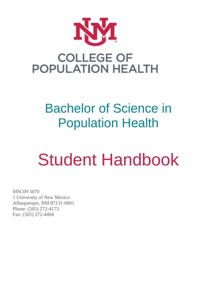

# Bachelor of Science in Population Health

# Student Handbook

MSC09 5070 1 University of New Mexico Albuquerque, NM 87131-0001 Phone: (505) 272-4173 Fax: (505) 272-4494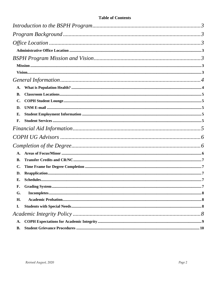# **Table of Contents**

| A.             |  |  |
|----------------|--|--|
| <b>B.</b>      |  |  |
| $\mathbf{C}$ . |  |  |
| D.             |  |  |
| Е.             |  |  |
| F.             |  |  |
|                |  |  |
|                |  |  |
|                |  |  |
| A.             |  |  |
| В.             |  |  |
| $\mathbf{C}$ . |  |  |
| D.             |  |  |
| Е.             |  |  |
| F.             |  |  |
| G.             |  |  |
| H.             |  |  |
| I.             |  |  |
|                |  |  |
| A.             |  |  |
| <b>B.</b>      |  |  |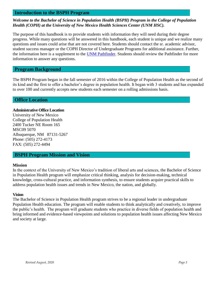### <span id="page-2-0"></span>**Introduction to the BSPH Program**

#### *Welcome to the Bachelor of Science in Population Health (BSPH) Program in the College of Population Health (COPH) at the University of New Mexico Health Sciences Center (UNM HSC).*

The purpose of this handbook is to provide students with information they will need during their degree progress. While many questions will be answered in this handbook, each student is unique and we realize many questions and issues could arise that are not covered here. Students should contact the sr. academic advisor, student success manager or the COPH Director of Undergraduate Programs for additional assistance. Further, the information here is a supplement to the [UNM Pathfinder.](https://pathfinder.unm.edu/) Students should review the Pathfinder for more information to answer any questions.

#### <span id="page-2-1"></span>**Program Background**

The BSPH Program began in the fall semester of 2016 within the College of Population Health as the second of its kind and the first to offer a bachelor's degree in population health. It began with 3 students and has expanded to over 100 and currently accepts new students each semester on a rolling admissions basis.

#### <span id="page-2-2"></span>**Office Location**

#### <span id="page-2-3"></span>**Administrative Office Location**

University of New Mexico College of Population Health 2400 Tucker NE Room 165 MSC09 5070 Albuquerque, NM 87131-5267 Phone: (505) 272-4173 FAX: (505) 272-4494

#### <span id="page-2-4"></span>**BSPH Program Mission and Vision**

#### <span id="page-2-5"></span>**Mission**

In the context of the University of New Mexico's tradition of liberal arts and sciences, the Bachelor of Science in Population Health program will emphasize critical thinking, analysis for decision-making, technical knowledge, cross-cultural practice, and information synthesis, to ensure students acquire practical skills to address population health issues and trends in New Mexico, the nation, and globally.

#### <span id="page-2-6"></span>**Vision**

The Bachelor of Science in Population Health program strives to be a regional leader in undergraduate Population Health education. The program will enable students to think analytically and creatively, to improve the public's health. The program will graduate students who practice in diverse fields of population health and bring informed and evidence-based viewpoints and solutions to population health issues affecting New Mexico and society at large.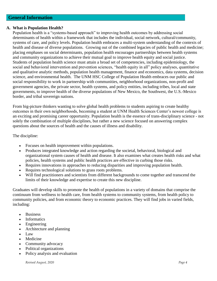# <span id="page-3-0"></span>**General Information**

#### <span id="page-3-1"></span>**A. What is Population Health?**

Population health is a "systems-based approach" to improving health outcomes by addressing social determinants of health within a framework that includes the individual, social network, cultural/community, systems of care, and policy levels. Population health embraces a multi-system understanding of the contexts of health and disease of diverse populations. Growing out of the combined legacies of public health and medicine; placing emphases on social determinants, population health encourages partnerships between health systems and community organizations to achieve their mutual goal to improve health equity and social justice. Students of population health science must attain a broad set of competencies, including epidemiology, the social and behavioral intervention and prevention sciences, "health equity in all" policy analyses, quantitative and qualitative analytic methods, population health management, finance and economics, data systems, decision science, and environmental health. The UNM HSC College of Population Health embraces our public and social responsibility to work in partnership with communities, neighborhood organizations, non-profit and government agencies, the private sector, health systems, and policy entities, including tribes, local and state governments, to improve health of the diverse populations of New Mexico, the Southwest, the U.S.-Mexico border, and tribal sovereign nations.

From big-picture thinkers wanting to solve global health problems to students aspiring to create healthy outcomes in their own neighborhoods, becoming a student at UNM Health Sciences Center's newest college is an exciting and promising career opportunity. Population health is the essence of trans-disciplinary science - not solely the combination of multiple disciplines, but rather a new science focused on answering complex questions about the sources of health and the causes of illness and disability.

The discipline:

- Focuses on health improvement within populations.
- Produces integrated knowledge and action regarding the societal, behavioral, biological and organizational system causes of health and disease. It also examines what creates health risks and what policies, health systems and public health practices are effective in curbing those risks.
- Requires innovations in approaches to reducing disparities and improving population health.
- Requires technological solutions to grass roots problems.
- Will find practitioners and scientists from different backgrounds to come together and transcend the limits of their knowledge and expertise to create this new discipline.

Graduates will develop skills to promote the health of populations in a variety of domains that comprise the continuum from wellness to health care, from health systems to community systems, from health policy to community policies, and from economic theory to economic practices. They will find jobs in varied fields, including:

- Business
- **Informatics**
- Engineering
- Architecture and planning
- Law
- Medicine
- Community advocacy
- Political organizations
- Policy analysis and evaluation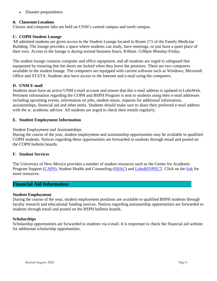Disaster preparedness

#### <span id="page-4-0"></span>**B. Classroom Locations**

Classes and computer labs are held on UNM's central campus and north campus.

#### <span id="page-4-1"></span>**C. COPH Student Lounge**

All admitted students are given access to the Student Lounge located in Room 171 of the Family Medicine Building. The lounge provides a space where students can study, have meetings, or just have a quiet place of their own. Access to the lounge is during normal business hours, 8:00am -5:00pm Monday-Friday.

The student lounge contains computer and office equipment, and all students are urged to safeguard that equipment by ensuring that the doors are locked when they leave the premises. There are two computers available in the student lounge. The computers are equipped with current software such as Windows, Microsoft Office and STATA. Students also have access to the Internet and e-mail using the computers.

#### <span id="page-4-2"></span>**D. UNM E-mail**

Students must have an active UNM e-mail account and ensure that this e-mail address is updated in LoboWeb. Pertinent information regarding the COPH and BSPH Program is sent to students using their e-mail addresses including upcoming events, information on jobs, student status, requests for additional information, assistantships, financial aid and other items. Students should make sure to share their preferred e-mail address with the sr. academic advisor. All students are urged to check their emails regularly.

#### <span id="page-4-3"></span>**E. Student Employment Information**

#### Student Employment and Assistantships

During the course of the year, student employment and assistantship opportunities may be available to qualified COPH students. Notices regarding these opportunities are forwarded to students through email and posted on the COPH bulletin boards.

#### <span id="page-4-4"></span>**F. Student Services**

The University of New Mexico provides a number of student resources such as the Center for Academic Program Support [\(CAPS\)](http://caps.unm.edu/), Student Health and Counseling [\(SHAC\)](http://shac.unm.edu/) and [LoboRESPECT.](http://loborespect.unm.edu/http:/loborespect.unm.edu/) Click on the [link](https://dos.unm.edu/resources/index.html) for more resources.

# <span id="page-4-5"></span>**Financial Aid Information**

#### **Student Employment**

During the course of the year, student employment positions are available to qualified BSPH students through faculty research and educational funding sources. Notices regarding assistantship opportunities are forwarded to students through email and posted on the BSPH bulletin boards.

#### **Scholarships**

Scholarship opportunities are forwarded to students via e-mail. It is important to check the financial aid website for additional scholarship opportunities.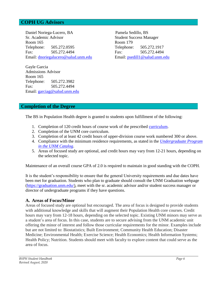# <span id="page-5-0"></span>**COPH UG Advisors**

Daniel Noriega-Lucero, BA Pamela Sedillo, BS Sr. Academic Advisor Student Success Manager Room 165 Room 179 Telephone: 505.272.0595 Telephone: 505.272.1917 Fax: 505.272.4494 Fax: 505.272.4494 Email: [dnoriegalucero@salud.unm.edu](mailto:dnoriegalucero@salud.unm.edu) Email: [psedill1@salud.unm.edu](mailto:psedill1@salud.unm.ed)

Gayle Garcia Admissions Advisor Room 165 Telephone: 505.272.3982 Fax: 505.272.4494 Email: [garciag@salud.unm.edu](mailto:garciag@salud.unm.edu) 

# <span id="page-5-1"></span>**Completion of the Degree**

The BS in Population Health degree is granted to students upon fulfillment of the following:

- 1. Completion of 120 credit hours of course work of the prescribed [curriculum.](http://coph.unm.edu/assets/doc/bs-degree-requirements.pdf)
- 2. Completion of the UNM core curriculum.
- 3. Completion of at least 42 credit hours of upper-division course work numbered 300 or above.
- 4. Compliance with the minimum residence requirements, as stated in the *[Undergraduate Program](http://catalog-devl.unm.edu/catalogs/2016-2017/undergrad-program.html)  [in the UNM Catalog](http://catalog-devl.unm.edu/catalogs/2016-2017/undergrad-program.html)*.
- 5. Areas of focused study are optional, and credit hours may vary from 12-21 hours, depending on the selected topic.

Maintenance of an overall course GPA of 2.0 is required to maintain in good standing with the COPH.

It is the student's responsibility to ensure that the general University requirements and due dates have been met for graduation. Students who plan to graduate should consult the UNM Graduation webpage [\(https://graduation.unm.edu/\)](https://graduation.unm.edu/), meet with the sr. academic advisor and/or student success manager or director of undergraduate programs if they have questions.

#### <span id="page-5-2"></span>**A. Areas of Focus/Minor**

Areas of focused study are optional but encouraged. The area of focus is designed to provide students with additional knowledge and skills that will augment their Population Health core courses. Credit hours may vary from 12-18 hours, depending on the selected topic. Existing UNM minors may serve as a student's area of focus. In this case, students are to secure advising from the UNM academic unit offering the minor of interest and follow those curricular requirements for the minor. Examples include but are not limited to: Biostatistics; Built Environment; Community Health Education; Disaster Medicine; Environmental Health; Exercise Science; Health Economics; Health Information Systems; Health Policy; Nutrition. Students should meet with faculty to explore content that could serve as the area of focus.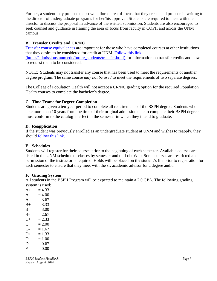Further, a student may propose their own tailored area of focus that they create and propose in writing to the director of undergraduate programs for her/his approval. Students are required to meet with the director to discuss the proposal in advance of the written submission. Students are also encouraged to seek counsel and guidance in framing the area of focus from faculty in COPH and across the UNM campus.

# <span id="page-6-0"></span>**B. Transfer Credits and CR/NC**

[Transfer course equivalences](https://admissions.unm.edu/future_students/transfer-course-equivalencies.html) are important for those who have completed courses at other institutions that they desire to be considered for credit at UNM. [Follow this link](https://admissions.unm.edu/future_students/transfer.html) (https://admissions.unm.edu/future\_students/transfer.html) for information on transfer credits and how to request them to be considered.

NOTE: Students may not transfer any course that has been used to meet the requirements of another degree program. The same course *may not be used* to meet the requirements of two separate degrees.

The College of Population Health will not accept a CR/NC grading option for the required Population Health courses to complete the bachelor's degree.

# <span id="page-6-1"></span>**C. Time Frame for Degree Completion**

Students are given a ten-year period to complete all requirements of the BSPH degree. Students who take more than 10 years from the time of their original admission date to complete their BSPH degree, must conform to the catalog in effect in the semester in which they intend to graduate.

# <span id="page-6-2"></span>**D. Reapplication**

If the student was previously enrolled as an undergraduate student at UNM and wishes to reapply, they should [follow this link.](https://admissions.unm.edu/future-students/readmission-returning.html)

# <span id="page-6-3"></span>**E. Schedules**

Students will register for their courses prior to the beginning of each semester. Available courses are listed in the UNM schedule of classes by semester and on LoboWeb. Some courses are restricted and permission of the instructor is required. Holds will be placed on the student's file prior to registration for each semester to ensure that they meet with the sr. academic advisor for a degree audit.

#### <span id="page-6-4"></span>**F. Grading System**

All students in the BSPH Program will be expected to maintain a 2.0 GPA. The following grading system is used:

 $A+ = 4.33$  $A = 4.00$ A-  $= 3.67$  $B_{+}$  = 3.33  $B = 3.00$  $B - 2.67$  $C_{+}$  = 2.33  $C = 2.00$  $C- = 1.67$  $D+ = 1.33$  $D = 1.00$  $D- = 0.67$  $F = 0.00$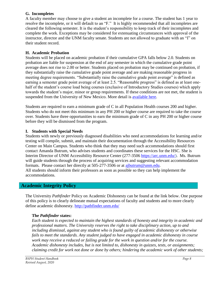# <span id="page-7-0"></span>**G. Incompletes**

A faculty member may choose to give a student an incomplete for a course. The student has 1 year to resolve the incomplete, or it will default to an "F." It is highly recommended that all incompletes are cleared the following semester. It is the student's responsibility to keep track of their incompletes and complete the work. Exceptions may be considered for extenuating circumstances with approval of the instructor, director and the UNM faculty senate. Students are not allowed to graduate with an "I" on their student record.

# <span id="page-7-1"></span>**H. Academic Probation**

Students will be placed on academic probation if their cumulative GPA falls below 2.0. Students on probation are liable for suspension at the end of any semester in which the cumulative grade point average does not rise to 2.00 or better. Students placed on probation may be continued on probation, if they substantially raise the cumulative grade point average and are making reasonable progress in meeting degree requirements. "Substantially raise the cumulative grade point average" is defined as earning a semester grade point average of at least 2.5. "Reasonable progress" is defined as at least onehalf of the student's course load being courses (exclusive of Introductory Studies courses) which apply towards the student's major, minor or group requirements. If these conditions are not met, the student is suspended from the University of New Mexico. More detail is [available here.](https://epac.unm.edu/academic-forms/index.html)

Students are required to earn a minimum grade of C in all Population Health courses 200 and higher. Students who do not meet this minimum in any PH 200 or higher course are required to take the course over. Students have three opportunities to earn the minimum grade of C in any PH 200 or higher course before they will be dismissed from the program.

# <span id="page-7-2"></span>**I. Students with Special Needs**

Students with newly or previously diagnosed disabilities who need accommodations for learning and/or testing will compile, submit, and maintain their documentation through the Accessibility Resources Center on Main Campus. Students who think that they may need such accommodations should first contact Amanda Butrum, who advises students and coordinates these services for the HSC. She is Interim Director of UNM Accessibility Resource Center (277-3506 [https://arc.unm.edu/\)](https://arc.unm.edu/). Ms. Butrum will guide students through the process of acquiring services and suggesting relevant accommodation formats. Please contact her directly at 505-277-3506 or at [ajbutrum@unm.edu.](mailto:ajbutrum@unm.edu) All students should inform their professors as soon as possible so they can help implement the accommodations.

# <span id="page-7-3"></span>**Academic Integrity Policy**

The University *Pathfinder* Policy on Academic Dishonesty can be found at the link below. One purpose of this policy is to clearly delineate mutual expectations of faculty and students and to more clearly define academic dishonesty. <http://pathfinder.unm.edu/>

#### **The** *Pathfinder* **states:**

*Each student is expected to maintain the highest standards of honesty and integrity in academic and professional matters. The University reserves the right to take disciplinary action, up to and including dismissal, against any student who is found guilty of academic dishonesty or otherwise fails to meet the standards. Any student judged to have engaged in academic dishonesty in course work may receive a reduced or failing grade for the work in question and/or for the course. Academic dishonesty includes, but is not limited to, dishonesty in quizzes, tests, or assignments; claiming credit for work not done or done by others; hindering the academic work of other students;*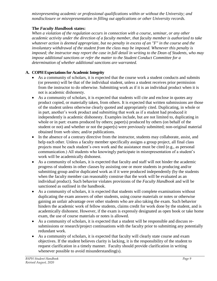*misrepresenting academic or professional qualifications within or without the University; and nondisclosure or misrepresentation in filling out applications or other University records.*

# **The** *Faculty Handbook* **states:**

*When a violation of the regulation occurs in connection with a course, seminar, or any other academic activity under the direction of a faculty member, that faculty member is authorized to take whatever action is deemed appropriate, but no penalty in excess of an "F" in the course and the involuntary withdrawal of the student from the class may be imposed. Whenever this penalty is imposed; the instructor may report the case in full detail in writing to the Dean of Students, who may impose additional sanctions or refer the matter to the Student Conduct Committee for a determination of whether additional sanctions are warranted.*

# <span id="page-8-0"></span>**A. COPH Expectations for Academic Integrity**

- As a community of scholars, it is expected that the course work a student conducts and submits (or presents) will be that of the individual student, unless a student receives prior permission from the instructor to do otherwise. Submitting work as if it is an individual product when it is not is academic dishonesty.
- As a community of scholars, it is expected that students will cite and enclose in quotes any product copied, or materially taken, from others. It is expected that written submissions are those of the student unless otherwise clearly quoted and appropriately cited. Duplicating, in whole or in part, another's work product and submitting that work as if a student had produced it independently is academic dishonesty. Examples include, but are not limited to, duplicating in whole or in part: exams produced by others; paper(s) produced by others (on behalf of the student or not) and whether or not the paper(s) were previously submitted; non-original material obtained from web sites; and/or publications.
- In the absence of a contrary directive from the instructor, students may collaborate, assist, and help each other. Unless a faculty member specifically assigns a group project, all final class projects must be each student's own work and the assistance must be cited (e.g., as personal communication.) All students who knowingly participate in misrepresentation of a student's work will be academically dishonest.
- As a community of scholars, it is expected that faculty and staff will not hinder the academic progress of students in other classes by assisting one or more students in producing and/or submitting group and/or duplicated work as if it were produced independently (by the students when the faculty member can reasonably construe that the work will be evaluated as an individual product). Such behavior violates provisions of the *Faculty Handbook* and will be sanctioned as outlined in the handbook.
- As a community of scholars, it is expected that students will complete examinations without duplicating the exam answers of other students, using course materials or notes or otherwise gaining an unfair advantage over other students who are also taking the exam. Such behavior hinders the academic work of fellow students, claims credit for work done by the student, and is academically dishonest. However, if the exam is expressly designated as open book or take home exam, the use of course materials or notes is allowed.
- As a community of scholars, it is expected that a student will be responsible and discuss resubmissions or research/project continuations with the faculty prior to submitting any potentially redundant work.
- As a community of scholars, it is expected that faculty will clearly state course and exam objectives. If the student believes clarity is lacking, it is the responsibility of the student to request clarification in a timely manner. Faculty should provide clarification in writing whenever possible to avoid misunderstanding(s).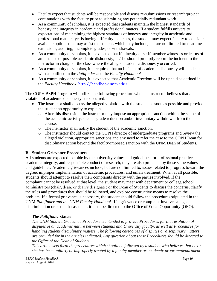- Faculty expect that students will be responsible and discuss re-submissions or research/project continuations with the faculty prior to submitting any potentially redundant work.
- As a community of scholars, it is expected that students maintain the highest standards of honesty and integrity in academic and professional matters. If a student fulfills university expectations of maintaining the highest standards of honesty and integrity in academic and professional matters, yet is having difficulty in a class, the student may expect faculty to consider available options that may assist the student, which may include, but are not limited to: deadline extensions, auditing, incomplete grades, or withdrawals.
- As a community of scholars, it is expected that if a faculty or staff member witnesses or learns of an instance of possible academic dishonesty, he/she should promptly report the incident to the instructor in charge of the class where the alleged academic dishonesty occurred.
- As a community of scholars, it is required that an incident of academic dishonesty will be dealt with as outlined in the *Pathfinder* and the *Faculty Handbook*.
- As a community of scholars, it is expected that Academic Freedom will be upheld as defined in the *Faculty Handbook*. <http://handbook.unm.edu/>

The COPH BSPH Program will utilize the following procedure when an instructor believes that a violation of academic dishonesty has occurred:

- The instructor shall discuss the alleged violation with the student as soon as possible and provide the student an opportunity to explain.
	- o After this discussion, the instructor may impose an appropriate sanction within the scope of the academic activity, such as grade reduction and/or involuntary withdrawal from the course.
	- o The instructor shall notify the student of the academic sanction.
	- o The instructor should contact the COPH director of undergraduate programs and review the alleged violation, appropriate sanctions and any need to refer the case to the COPH Dean for disciplinary action beyond the faculty-imposed sanction with the UNM Dean of Students.

# <span id="page-9-0"></span>**B. Student Grievance Procedures**

All students are expected to abide by the university values and guidelines for professional practice, academic integrity, and responsible conduct of research; they are also protected by those same values and guidelines. Academic grievances include, but are not limited to, issues related to progress toward the degree, improper implementation of academic procedures, and unfair treatment. When at all possible, students should attempt to resolve their complaints directly with the parties involved. If the complaint cannot be resolved at that level, the student may meet with department or college/school administrators (chair, dean, or dean's designate) or the Dean of Students to discuss the concerns, clarify the rules and procedures that should be followed, and explore constructive means to resolve the problem. If a formal grievance is necessary, the student should follow the procedures stipulated in the UNM *Pathfinder and the UNM Faculty Handbook*. If a grievance or complaint involves alleged discrimination or sexual harassment, it must be directed to the Office of Equal Opportunity (OEO).

# **The** *Pathfinder* **states:**

*The UNM Student Grievance Procedure is intended to provide Procedures for the resolution of disputes of an academic nature between students and University faculty, as well as Procedures for handling student disciplinary matters. The following categories of disputes or disciplinary matters are provided for in the articles indicated. Any question about these Procedures should be directed to the Office of the Dean of Students.*

*This article sets forth the procedures which should be followed by a student who believes that he or she has been unfairly or improperly treated by a faculty member or academic program/department*